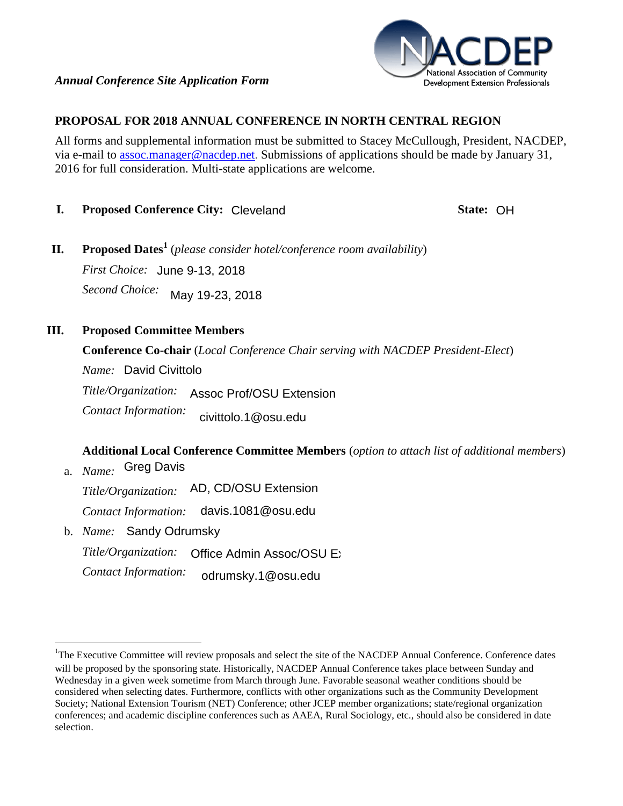

## **PROPOSAL FOR 2018 ANNUAL CONFERENCE IN NORTH CENTRAL REGION**

All forms and supplemental information must be submitted to Stacey McCullough, President, NACDEP, via e-mail to [assoc.manager@nacdep.net.](mailto:assoc.manager@nacdep.net) Submissions of applications should be made by January 31, 2016 for full consideration. Multi-state applications are welcome.

**I.** Proposed Conference City: Cleveland **CH** State: OH

**II. Proposed Dates<sup>1</sup>** (*please consider hotel/conference room availability*) *First Choice:*  June 9-13, 2018 *Second Choice:*  May 19-23, 2018

**III. Proposed Committee Members**

 $\overline{a}$ 

**Conference Co-chair** (*Local Conference Chair serving with NACDEP President-Elect*) *Name: Title/Organization: Contact Information:*  Assoc Prof/OSU Extension

civittolo.1@osu.edu

**Additional Local Conference Committee Members** (*option to attach list of additional members*) a. *Name:*  Greg Davis

*Title/Organization: Contact Information:*  AD, CD/OSU Extension davis.1081@osu.edu

b. *Name:*  Sandy Odrumsky *Title/Organization: Contact Information:*  Office Admin Assoc/OSU Extensive odrumsky.1@osu.edu

<sup>&</sup>lt;sup>1</sup>The Executive Committee will review proposals and select the site of the NACDEP Annual Conference. Conference dates will be proposed by the sponsoring state. Historically, NACDEP Annual Conference takes place between Sunday and Wednesday in a given week sometime from March through June. Favorable seasonal weather conditions should be considered when selecting dates. Furthermore, conflicts with other organizations such as the Community Development Society; National Extension Tourism (NET) Conference; other JCEP member organizations; state/regional organization conferences; and academic discipline conferences such as AAEA, Rural Sociology, etc., should also be considered in date selection.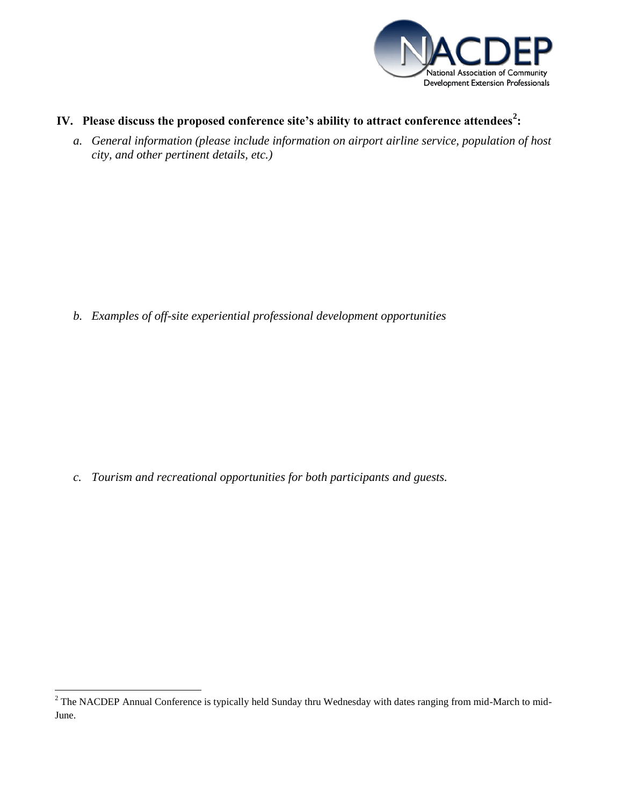

- **IV. Please discuss the proposed conference site's ability to attract conference attendees<sup>2</sup> :** 
	- *a. General information (please include information on airport airline service, population of host city, and other pertinent details, etc.)*

*b. Examples of off-site experiential professional development opportunities* 

*c. Tourism and recreational opportunities for both participants and guests.* 

 $\overline{a}$ 

<sup>&</sup>lt;sup>2</sup> The NACDEP Annual Conference is typically held Sunday thru Wednesday with dates ranging from mid-March to mid-June.